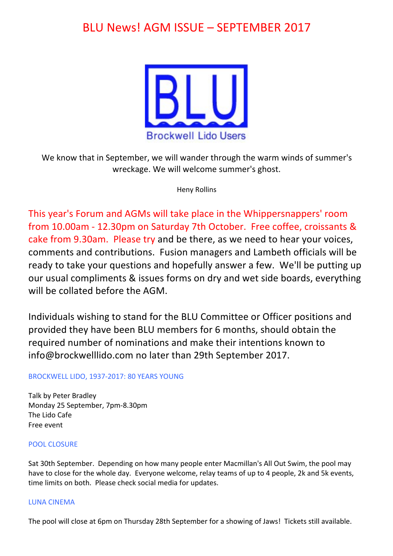# BLU News! AGM ISSUE – SEPTEMBER 2017



We know that in September, we will wander through the warm winds of summer's wreckage. We will welcome summer's ghost.

Heny Rollins

This year's Forum and AGMs will take place in the Whippersnappers' room from 10.00am - 12.30pm on Saturday 7th October. Free coffee, croissants & cake from 9.30am. Please try and be there, as we need to hear your voices, comments and contributions. Fusion managers and Lambeth officials will be ready to take your questions and hopefully answer a few. We'll be putting up our usual compliments & issues forms on dry and wet side boards, everything will be collated before the AGM.

Individuals wishing to stand for the BLU Committee or Officer positions and provided they have been BLU members for 6 months, should obtain the required number of nominations and make their intentions known to info@brockwelllido.com no later than 29th September 2017.

# BROCKWELL LIDO, 1937-2017: 80 YEARS YOUNG

Talk by Peter Bradley Monday 25 September, 7pm-8.30pm The Lido Cafe Free event

## POOL CLOSURE

Sat 30th September. Depending on how many people enter Macmillan's All Out Swim, the pool may have to close for the whole day. Everyone welcome, relay teams of up to 4 people, 2k and 5k events, time limits on both. Please check social media for updates.

## LUNA CINEMA

The pool will close at 6pm on Thursday 28th September for a showing of Jaws! Tickets still available.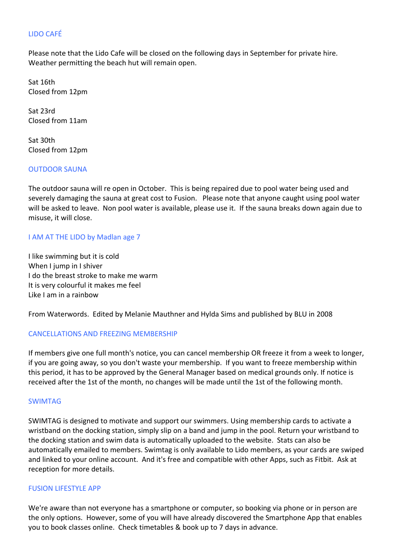# LIDO CAFÉ

Please note that the Lido Cafe will be closed on the following days in September for private hire. Weather permitting the beach hut will remain open.

Sat 16th Closed from 12pm

Sat 23rd Closed from 11am

Sat 30th Closed from 12pm

#### **OUTDOOR SAUNA**

The outdoor sauna will re open in October. This is being repaired due to pool water being used and severely damaging the sauna at great cost to Fusion. Please note that anyone caught using pool water will be asked to leave. Non pool water is available, please use it. If the sauna breaks down again due to misuse, it will close.

## I AM AT THE LIDO by Madlan age 7

I like swimming but it is cold When I jump in I shiver I do the breast stroke to make me warm It is very colourful it makes me feel Like I am in a rainbow

From Waterwords. Edited by Melanie Mauthner and Hylda Sims and published by BLU in 2008

## CANCELLATIONS AND FREEZING MEMBERSHIP

If members give one full month's notice, you can cancel membership OR freeze it from a week to longer, if you are going away, so you don't waste your membership. If you want to freeze membership within this period, it has to be approved by the General Manager based on medical grounds only. If notice is received after the 1st of the month, no changes will be made until the 1st of the following month.

#### SWIMTAG

SWIMTAG is designed to motivate and support our swimmers. Using membership cards to activate a wristband on the docking station, simply slip on a band and jump in the pool. Return your wristband to the docking station and swim data is automatically uploaded to the website. Stats can also be automatically emailed to members. Swimtag is only available to Lido members, as your cards are swiped and linked to your online account. And it's free and compatible with other Apps, such as Fitbit. Ask at reception for more details.

#### **FUSION LIFESTYLE APP**

We're aware than not everyone has a smartphone or computer, so booking via phone or in person are the only options. However, some of you will have already discovered the Smartphone App that enables you to book classes online. Check timetables & book up to 7 days in advance.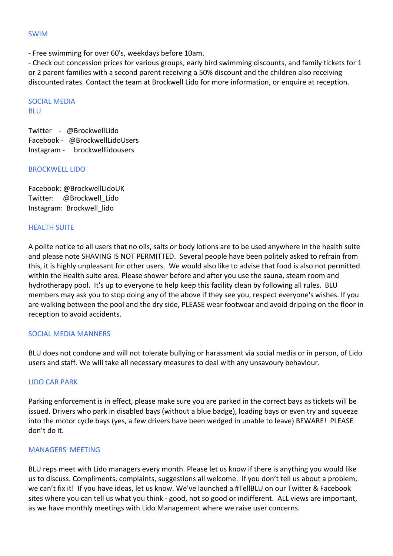#### SWIM

- Free swimming for over 60's, weekdays before 10am.

- Check out concession prices for various groups, early bird swimming discounts, and family tickets for 1 or 2 parent families with a second parent receiving a 50% discount and the children also receiving discounted rates. Contact the team at Brockwell Lido for more information, or enquire at reception.

**SOCIAL MEDIA BLU** 

Twitter - @BrockwellLido Facebook - @BrockwellLidoUsers Instagram - brockwelllidousers

#### **BROCKWELL LIDO**

Facebook: @BrockwellLidoUK Twitter: @Brockwell\_Lido Instagram: Brockwell lido

## **HEALTH SUITE**

A polite notice to all users that no oils, salts or body lotions are to be used anywhere in the health suite and please note SHAVING IS NOT PERMITTED. Several people have been politely asked to refrain from this, it is highly unpleasant for other users. We would also like to advise that food is also not permitted within the Health suite area. Please shower before and after you use the sauna, steam room and hydrotherapy pool. It's up to everyone to help keep this facility clean by following all rules. BLU members may ask you to stop doing any of the above if they see you, respect everyone's wishes. If you are walking between the pool and the dry side, PLEASE wear footwear and avoid dripping on the floor in reception to avoid accidents.

## SOCIAL MEDIA MANNERS

BLU does not condone and will not tolerate bullying or harassment via social media or in person, of Lido users and staff. We will take all necessary measures to deal with any unsavoury behaviour.

## LIDO CAR PARK

Parking enforcement is in effect, please make sure you are parked in the correct bays as tickets will be issued. Drivers who park in disabled bays (without a blue badge), loading bays or even try and squeeze into the motor cycle bays (yes, a few drivers have been wedged in unable to leave) BEWARE! PLEASE don't do it.

## MANAGERS' MEETING

BLU reps meet with Lido managers every month. Please let us know if there is anything you would like us to discuss. Compliments, complaints, suggestions all welcome. If you don't tell us about a problem, we can't fix it! If you have ideas, let us know. We've launched a #TellBLU on our Twitter & Facebook sites where you can tell us what you think - good, not so good or indifferent. ALL views are important, as we have monthly meetings with Lido Management where we raise user concerns.